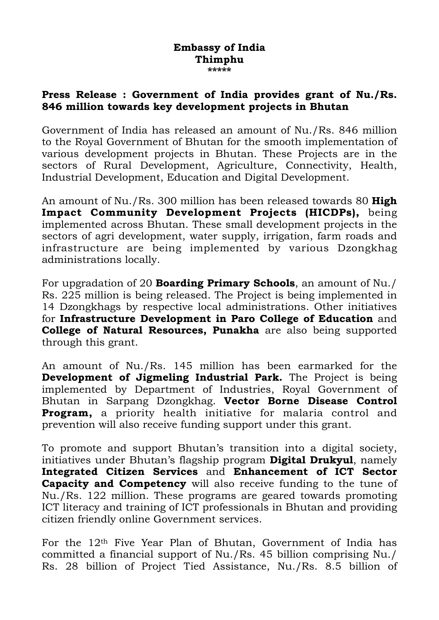## **Embassy of India Thimphu**  \_<br>ماد ماد ماد ماد ماد

## **Press Release : Government of India provides grant of Nu./Rs. 846 million towards key development projects in Bhutan**

Government of India has released an amount of Nu./Rs. 846 million to the Royal Government of Bhutan for the smooth implementation of various development projects in Bhutan. These Projects are in the sectors of Rural Development, Agriculture, Connectivity, Health, Industrial Development, Education and Digital Development.

An amount of Nu./Rs. 300 million has been released towards 80 **High Impact Community Development Projects (HICDPs),** being implemented across Bhutan. These small development projects in the sectors of agri development, water supply, irrigation, farm roads and infrastructure are being implemented by various Dzongkhag administrations locally.

For upgradation of 20 **Boarding Primary Schools**, an amount of Nu./ Rs. 225 million is being released. The Project is being implemented in 14 Dzongkhags by respective local administrations. Other initiatives for **Infrastructure Development in Paro College of Education** and **College of Natural Resources, Punakha** are also being supported through this grant.

An amount of Nu./Rs. 145 million has been earmarked for the **Development of Jigmeling Industrial Park.** The Project is being implemented by Department of Industries, Royal Government of Bhutan in Sarpang Dzongkhag. **Vector Borne Disease Control Program,** a priority health initiative for malaria control and prevention will also receive funding support under this grant.

To promote and support Bhutan's transition into a digital society, initiatives under Bhutan's flagship program **Digital Drukyul**, namely **Integrated Citizen Services** and **Enhancement of ICT Sector Capacity and Competency** will also receive funding to the tune of Nu./Rs. 122 million. These programs are geared towards promoting ICT literacy and training of ICT professionals in Bhutan and providing citizen friendly online Government services.

For the 12th Five Year Plan of Bhutan, Government of India has committed a financial support of Nu./Rs. 45 billion comprising Nu./ Rs. 28 billion of Project Tied Assistance, Nu./Rs. 8.5 billion of